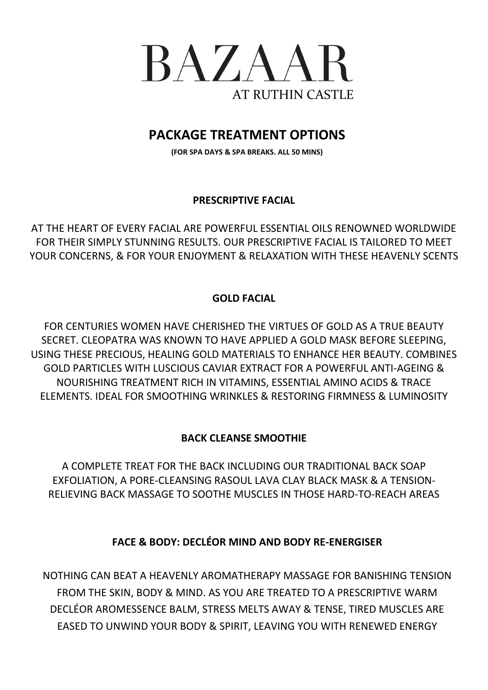

# **PACKAGE TREATMENT OPTIONS**

**(FOR SPA DAYS & SPA BREAKS. ALL 50 MINS)**

### **PRESCRIPTIVE FACIAL**

AT THE HEART OF EVERY FACIAL ARE POWERFUL ESSENTIAL OILS RENOWNED WORLDWIDE FOR THEIR SIMPLY STUNNING RESULTS. OUR PRESCRIPTIVE FACIAL IS TAILORED TO MEET YOUR CONCERNS, & FOR YOUR ENJOYMENT & RELAXATION WITH THESE HEAVENLY SCENTS

### **GOLD FACIAL**

FOR CENTURIES WOMEN HAVE CHERISHED THE VIRTUES OF GOLD AS A TRUE BEAUTY SECRET. CLEOPATRA WAS KNOWN TO HAVE APPLIED A GOLD MASK BEFORE SLEEPING, USING THESE PRECIOUS, HEALING GOLD MATERIALS TO ENHANCE HER BEAUTY. COMBINES GOLD PARTICLES WITH LUSCIOUS CAVIAR EXTRACT FOR A POWERFUL ANTI-AGEING & NOURISHING TREATMENT RICH IN VITAMINS, ESSENTIAL AMINO ACIDS & TRACE ELEMENTS. IDEAL FOR SMOOTHING WRINKLES & RESTORING FIRMNESS & LUMINOSITY

## **BACK CLEANSE SMOOTHIE**

A COMPLETE TREAT FOR THE BACK INCLUDING OUR TRADITIONAL BACK SOAP EXFOLIATION, A PORE-CLEANSING RASOUL LAVA CLAY BLACK MASK & A TENSION-RELIEVING BACK MASSAGE TO SOOTHE MUSCLES IN THOSE HARD-TO-REACH AREAS

## **FACE & BODY: DECLÉOR MIND AND BODY RE-ENERGISER**

NOTHING CAN BEAT A HEAVENLY AROMATHERAPY MASSAGE FOR BANISHING TENSION FROM THE SKIN, BODY & MIND. AS YOU ARE TREATED TO A PRESCRIPTIVE WARM DECLÉOR AROMESSENCE BALM, STRESS MELTS AWAY & TENSE, TIRED MUSCLES ARE EASED TO UNWIND YOUR BODY & SPIRIT, LEAVING YOU WITH RENEWED ENERGY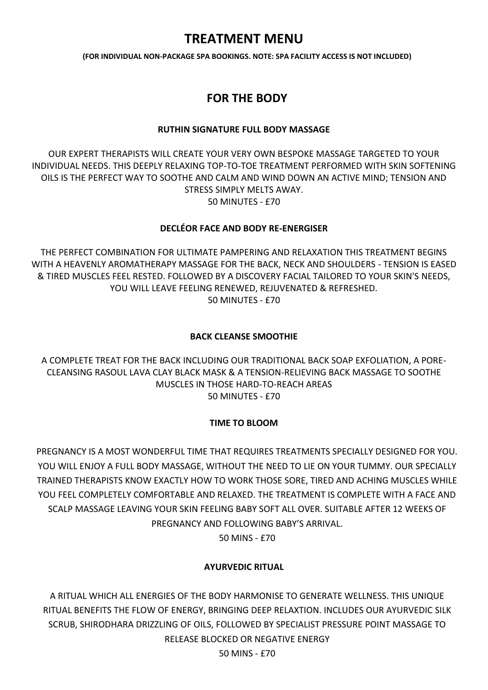# **TREATMENT MENU**

**(FOR INDIVIDUAL NON-PACKAGE SPA BOOKINGS. NOTE: SPA FACILITY ACCESS IS NOT INCLUDED)**

## **FOR THE BODY**

#### **RUTHIN SIGNATURE FULL BODY MASSAGE**

OUR EXPERT THERAPISTS WILL CREATE YOUR VERY OWN BESPOKE MASSAGE TARGETED TO YOUR INDIVIDUAL NEEDS. THIS DEEPLY RELAXING TOP-TO-TOE TREATMENT PERFORMED WITH SKIN SOFTENING OILS IS THE PERFECT WAY TO SOOTHE AND CALM AND WIND DOWN AN ACTIVE MIND; TENSION AND STRESS SIMPLY MELTS AWAY. 50 MINUTES - £70

#### **DECLÉOR FACE AND BODY RE-ENERGISER**

THE PERFECT COMBINATION FOR ULTIMATE PAMPERING AND RELAXATION THIS TREATMENT BEGINS WITH A HEAVENLY AROMATHERAPY MASSAGE FOR THE BACK, NECK AND SHOULDERS - TENSION IS EASED & TIRED MUSCLES FEEL RESTED. FOLLOWED BY A DISCOVERY FACIAL TAILORED TO YOUR SKIN'S NEEDS, YOU WILL LEAVE FEELING RENEWED, REJUVENATED & REFRESHED. 50 MINUTES - £70

#### **BACK CLEANSE SMOOTHIE**

A COMPLETE TREAT FOR THE BACK INCLUDING OUR TRADITIONAL BACK SOAP EXFOLIATION, A PORE-CLEANSING RASOUL LAVA CLAY BLACK MASK & A TENSION-RELIEVING BACK MASSAGE TO SOOTHE MUSCLES IN THOSE HARD-TO-REACH AREAS 50 MINUTES - £70

### **TIME TO BLOOM**

PREGNANCY IS A MOST WONDERFUL TIME THAT REQUIRES TREATMENTS SPECIALLY DESIGNED FOR YOU. YOU WILL ENJOY A FULL BODY MASSAGE, WITHOUT THE NEED TO LIE ON YOUR TUMMY. OUR SPECIALLY TRAINED THERAPISTS KNOW EXACTLY HOW TO WORK THOSE SORE, TIRED AND ACHING MUSCLES WHILE YOU FEEL COMPLETELY COMFORTABLE AND RELAXED. THE TREATMENT IS COMPLETE WITH A FACE AND SCALP MASSAGE LEAVING YOUR SKIN FEELING BABY SOFT ALL OVER. SUITABLE AFTER 12 WEEKS OF PREGNANCY AND FOLLOWING BABY'S ARRIVAL.

50 MINS - £70

### **AYURVEDIC RITUAL**

A RITUAL WHICH ALL ENERGIES OF THE BODY HARMONISE TO GENERATE WELLNESS. THIS UNIQUE RITUAL BENEFITS THE FLOW OF ENERGY, BRINGING DEEP RELAXTION. INCLUDES OUR AYURVEDIC SILK SCRUB, SHIRODHARA DRIZZLING OF OILS, FOLLOWED BY SPECIALIST PRESSURE POINT MASSAGE TO RELEASE BLOCKED OR NEGATIVE ENERGY

50 MINS - £70